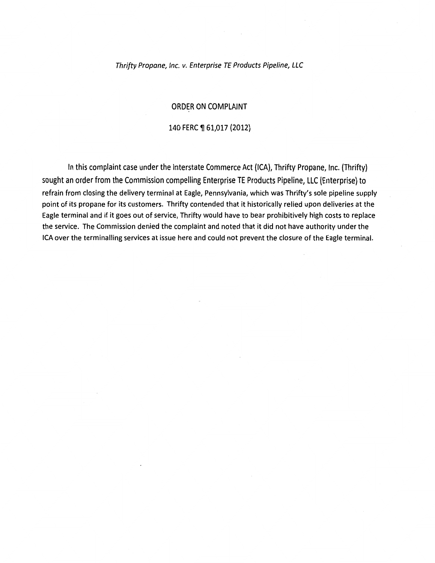#### Thrifty Propane, Inc. v. Enterprise TE Products Pipeline, LLC

### ORDER ON COMPLAINT

### 140 FERC ¶ 61,017 (2012)

In this complaint case under the Interstate Commerce Act {ICA), Thrifty Propane, Inc. {Thrifty) sought an order from the Commission compelling Enterprise TE Products Pipeline, LLC (Enterprise) to refrain from closing the delivery terminal at Eagle, Pennsylvania, which was Thrifty's sole pipeline supply point of its propane for its customers. Thrifty contended that it historically relied upon deliveries at the Eagle terminal and if it goes out of service, Thrifty would have to bear prohibitively high costs to replace the service. The Commission denied the complaint and noted that it did not have authority under the ICA over the terminalling services at issue here and could not prevent the closure of the Eagle terminal.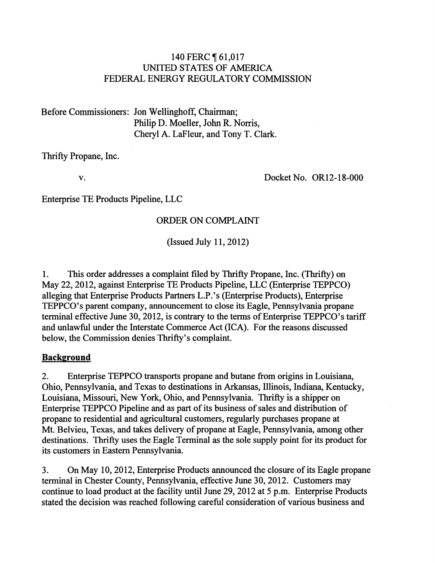## 140 FERC **[61,017** UNITED STATES OF AMERICA FEDERAL ENERGY REGULATORY COMMISSION

Before Commissioners: Jon Wellinghoff, Chairman; Philip D. Moeller, John R. Norris, Cheryl A. LaFleur, and Tony T. Clark.

Thrifty Propane, Inc.

v.

Docket No. OR12-18-000

Enterprise TE Products Pipeline, LLC

## ORDER ON COMPLAINT

(Issued July 11, 2012)

1. This order addresses a complaint filed by Thrifty Propane, Inc. (Thrifty) on May 22,2012, against Enterprise TE Products Pipeline, LLC (Enterprise TEPPCO) alleging that Enterprise Products Partners L.P. 's (Enterprise Products), Enterprise TEPPCO's parent company, announcement to close its Eagle, Pennsylvania propane terminal effective June 30, 2012, is contrary to the terms of Enterprise TEPPCO's tariff and unlawful under the Interstate Commerce Act (ICA). For the reasons discussed below, the Commission denies Thrifty's complaint.

### **Background**

2. Enterprise TEPPCO transports propane and butane from origins in Louisiana, Ohio, Pennsylvania, and Texas to destinations in Arkansas, Illinois, Indiana, Kentucky, Louisiana, Missouri, New York, Ohio, and Pennsylvania. Thrifty is a shipper on Enterprise TEPPCO Pipeline and as part of its business of sales and distribution of propane to residential and agricultural customers, regularly purchases propane at Mt. Belvieu, Texas, and takes delivery of propane at Eagle, Pennsylvania, among other destinations. Thrifty uses the Eagle Terminal as the sole supply point for its product for its customers in Eastern Pennsylvania.

3. On May 10,2012, Enterprise Products announced the closure of its Eagle propane terminal in Chester County, Pennsylvania, effective June 30,2012. Customers may continue to load product at the facility until June 29, 2012 at 5 p.m. Enterprise Products stated the decision was reached following careful consideration of various business and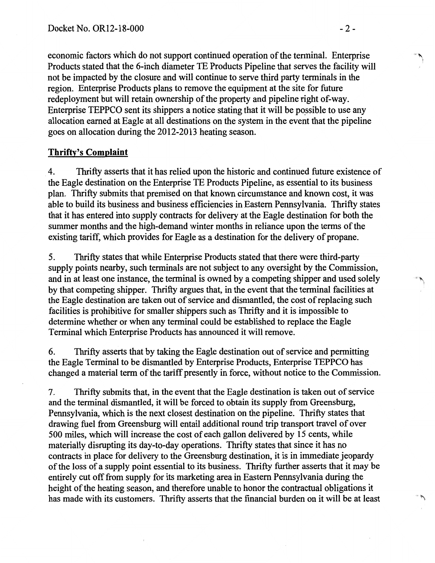economic factors which do not support continued operation of the terminal. Enterprise Products stated that the 6-inch diameter TE Products Pipeline that serves the facility will not be impacted by the closure and will continue to serve third party terminals in the region. Enterprise Products plans to remove the equipment at the site for future redeployment but will retain ownership of the property and pipeline right of-way. Enterprise TEPPCO sent its shippers a notice stating that it will be possible to use any allocation earned at Eagle at all destinations on the system in the event that the pipeline goes on allocation during the 2012-2013 heating season.

## **Thrifty's Complaint**

4. Thrifty asserts that it has relied upon the historic and continued future existence of the Eagle destination on the Enterprise TE Products Pipeline, as essential to its business plan. Thrifty submits that premised on that known circumstance and known cost, it was able to build its business and business efficiencies in Eastern Pennsylvania. Thrifty states that it has entered into supply contracts for delivery at the Eagle destination for both the summer months and the high-demand winter months in reliance upon the terms of the existing tariff, which provides for Eagle as a destination for the delivery of propane.

5. Thrifty states that while Enterprise Products stated that there were third-party supply points nearby, such terminals are not subject to any oversight by the Commission, and in at least one instance, the terminal is owned by a competing shipper and used solely by that competing shipper. Thrifty argues that, in the event that the terminal facilities at the Eagle destination are taken out of service and dismantled, the cost of replacing such facilities is prohibitive for smaller shippers such as Thrifty and it is impossible to determine whether or when any terminal could be established to replace the Eagle Terminal which Enterprise Products has announced it will remove.

6. Thrifty asserts that by taking the Eagle destination out of service and permitting the Eagle Terminal to be dismantled by Enterprise Products, Enterprise TEPPCO has changed a material term of the tariff presently in force, without notice to the Commission.

7. Thrifty submits that, in the event that the Eagle destination is taken out of service and the terminal dismantled, it will be forced to obtain its supply from Greensburg, Pennsylvania, which is the next closest destination on the pipeline. Thrifty states that drawing fuel from Greensburg will entail additional round trip transport travel of over 500 miles, which will increase the cost of each gallon delivered by 15 cents, while materially disrupting its day-to-day operations. Thrifty states that since it has no contracts in place for delivery to the Greensburg destination, it is in immediate jeopardy of the loss of a supply point essential to its business. Thrifty further asserts that it may be entirely cut off from supply for its marketing area in Eastern Pennsylvania during the height of the heating season, and therefore unable to honor the contractual obligations it has made with its customers. Thrifty asserts that the financial burden on it will be at least '''"' '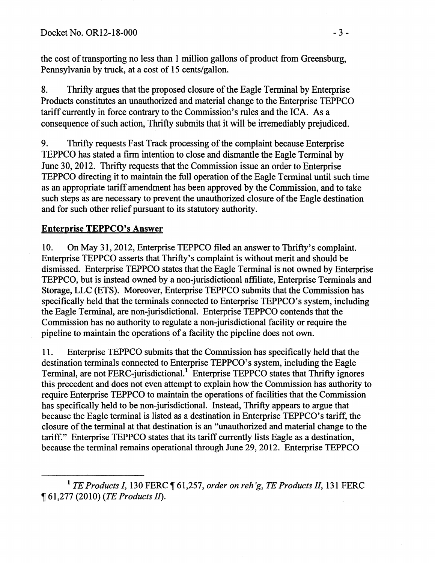the cost of transporting no less than 1 million gallons of product from Greensburg, Pennsylvania by truck, at a cost of 15 cents/gallon.

8. Thrifty argues that the proposed closure of the Eagle Terminal by Enterprise Products constitutes an unauthorized and material change to the Enterprise TEPPCO tariff currently in force contrary to the Commission's rules and the ICA. As a consequence of such action, Thrifty submits that it will be irremediably prejudiced.

9. Thrifty requests Fast Track processing of the complaint because Enterprise TEPPCO has stated a firm intention to close and dismantle the Eagle Terminal by June 30,2012. Thrifty requests that the Commission issue an order to Enterprise TEPPCO directing it to maintain the full operation of the Eagle Terminal until such time as an appropriate tariff amendment has been approved by the Commission, and to take such steps as are necessary to prevent the unauthorized closure of the Eagle destination and for such other relief pursuant to its statutory authority.

## Enterprise TEPPCO's Answer

10. On May 31, 2012, Enterprise TEPPCO filed an answer to Thrifty's complaint. Enterprise TEPPCO asserts that Thrifty's complaint is without merit and should be dismissed. Enterprise TEPPCO states that the Eagle Terminal is not owned by Enterprise TEPPCO, but is instead owned by a non-jurisdictional affiliate, Enterprise Terminals and Storage, LLC (ETS}. Moreover, Enterprise TEPPCO submits that the Commission has specifically held that the terminals connected to Enterprise TEPPCO's system, including the Eagle Terminal, are non-jurisdictional. Enterprise TEPPCO contends that the Commission has no authority to regulate a non-jurisdictional facility or require the pipeline to maintain the operations of a facility the pipeline does not own.

11. Enterprise TEPPCO submits that the Commission has specifically held that the destination terminals connected to Enterprise TEPPCO's system, including the Eagle Terminal, are not FERC-jurisdictional.<sup>1</sup> Enterprise TEPPCO states that Thrifty ignores this precedent and does not even attempt to explain how the Commission has authority to require Enterprise TEPPCO to maintain the operations of facilities that the Commission has specifically held to be non-jurisdictional. Instead, Thrifty appears to argue that because the Eagle terminal is listed as a destination in Enterprise TEPPCO's tariff, the closure of the terminal at that destination is an "unauthorized and material change to the tariff." Enterprise TEPPCO states that its tariff currently lists Eagle as a destination, because the terminal remains operational through June 29,2012. Enterprise TEPPCO

<sup>&</sup>lt;sup>1</sup> TE Products I, 130 FERC ¶ 61,257, *order on reh'g, TE Products II*, 131 FERC ~ 61,277 (2010) *(TE Products II).*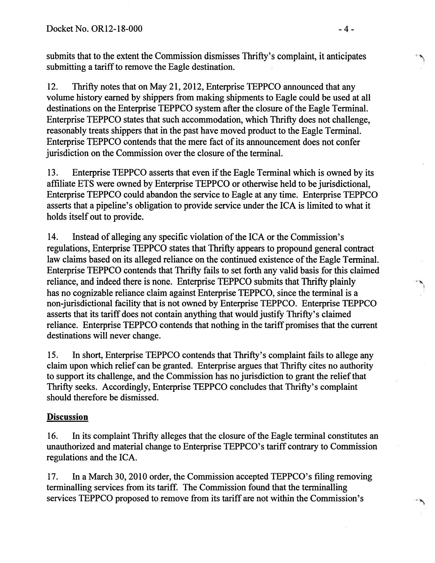submits that to the extent the Commission dismisses Thrifty's complaint, it anticipates submitting a tariff to remove the Eagle destination.

12. Thrifty notes that on May 21, 2012, Enterprise TEPPCO announced that any volume history earned by shippers from making shipments to Eagle could be used at all destinations on the Enterprise TEPPCO system after the closure of the Eagle Terminal. Enterprise TEPPCO states that such accommodation, which Thrifty does not challenge, reasonably treats shippers that in the past have moved product to the Eagle Terminal. Enterprise TEPPCO contends that the mere fact of its announcement does not confer jurisdiction on the Commission over the closure of the terminal.

13. Enterprise TEPPCO asserts that even if the Eagle Terminal which is owned by its affiliate ETS were owned by Enterprise TEPPCO or otherwise held to be jurisdictional, Enterprise TEPPCO could abandon the service to Eagle at any time. Enterprise TEPPCO asserts that a pipeline's obligation to provide service under the ICA is limited to what it holds itself out to provide.

14. Instead of alleging any specific violation of the ICA or the Commission's regulations, Enterprise TEPPCO states that Thrifty appears to propound general contract law claims based on its alleged reliance on the continued existence of the Eagle Terminal. Enterprise TEPPCO contends that Thrifty fails to set forth any valid basis for this claimed reliance, and indeed there is none. Enterprise TEPPCO submits that Thrifty plainly has no cognizable reliance claim against Enterprise TEPPCO, since the terminal is a non-jurisdictional facility that is not owned by Enterprise TEPPCO. Enterprise TEPPCO asserts that its tariff does not contain anything that would justify Thrifty's claimed reliance. Enterprise TEPPCO contends that nothing in the tariff promises that the current destinations will never change.

15. In short, Enterprise TEPPCO contends that Thrifty's complaint fails to allege any claim upon which relief can be granted. Enterprise argues that Thrifty cites no authority to support its challenge, and the Commission has no jurisdiction to grant the relief that Thrifty seeks. Accordingly, Enterprise TEPPCO concludes that Thrifty's complaint should therefore be dismissed.

# Discussion

16. In its complaint Thrifty alleges that the closure of the Eagle terminal constitutes an unauthorized and material change to Enterprise TEPPCO's tariff contrary to Commission regulations and the ICA.

17. In a March 30, 2010 order, the Commission accepted TEPPCO's filing removing terminalling services from its tariff. The Commission found that the terminalling services TEPPCO proposed to remove from its tariff are not within the Commission's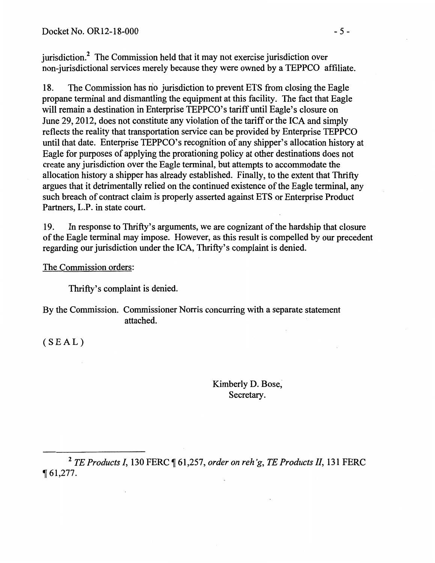jurisdiction.<sup>2</sup> The Commission held that it may not exercise jurisdiction over non-jurisdictional services merely because they were owned by a TEPPCO affiliate.

18. The Commission has n'o jurisdiction to prevent ETS from closing the Eagle propane terminal and dismantling the equipment at this facility. The fact that Eagle will remain a destination in Enterprise TEPPCO's tariff until Eagle's closure on June 29, 2012, does not constitute any violation of the tariff or the ICA and simply reflects the reality that transportation service can be provided by Enterprise TEPPCO until that date. Enterprise TEPPCO's recognition of any shipper's allocation history at Eagle for purposes of applying the prorationing policy at other destinations does not create any jurisdiction over the Eagle terminal, but attempts to accommodate the allocation history a shipper has already established. Finally, to the extent that Thrifty argues that it detrimentally relied on the continued existence of the Eagle terminal, any such breach of contract claim is properly asserted against ETS or Enterprise Product Partners, L.P. in state court.

19. In response to Thrifty's arguments, we are cognizant of the hardship that closure of the Eagle terminal may impose. However, as this result is compelled by our precedent regarding our jurisdiction under the ICA, Thrifty's complaint is denied.

The Commission orders:

Thrifty's complaint is denied.

 $\mathcal{L}_{\mathcal{A}}$ 

By the Commission. Commissioner Norris concurring with a separate statement attached.

(SEAL)

Kimberly D. Bose, Secretary.

<sup>2</sup> *TE Products I,* 130 FERC ¶ 61,257, *order on reh'g, TE Products II,* 131 FERC  $\P 61,277.$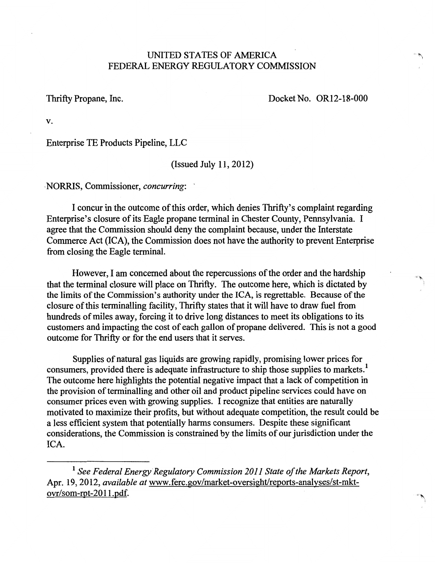## UNITED STATES OF AMERICA FEDERAL ENERGY REGULATORY COMMISSION

Thrifty Propane, Inc. Docket No. OR12-18-000

'مي.<br>''

v.

Enterprise TE Products Pipeline, LLC

(Issued July 11, 2012)

·NORRIS, Commissioner, *concurring:* ·

I concur in the outcome of this order, which denies Thrifty's complaint regarding Enterprise's closure of its Eagle propane terminal in Chester County, Pennsylvania. I agree that the Commission should deny the complaint because, under the Interstate Commerce Act (ICA), the Commission does not have the authority to prevent Enterprise from closing the Eagle terminaL

However, I am concerned about the repercussions of the order and the hardship that the terminal closure will place on Thrifty. The outcome here, which is dictated by the limits of the Commission's authority under the ICA, is regrettable. Because of the closure of this terminalling facility, Thrifty states that it will have to draw fuel from hundreds of miles away, forcing it to drive long distances to meet its obligations to its customers and impacting the cost of each gallon of propane delivered. This is not a good outcome for Thrifty or for the end users that it serves.

Supplies of natural gas liquids are growing rapidly, promising lower prices for consumers, provided there is adequate infrastructure to ship those supplies to markets.<sup>1</sup> The outcome here highlights the potential negative impact that a lack of competition in the provision of terminalling and other oil and product pipeline services could have on consumer prices even with growing supplies. I recognize that entities are naturally motivated to maximize their profits, but without adequate competition, the result could be a less efficient system that potentially harms consumers. Despite these significant considerations, the Commission is constrained by the limits of our jurisdiction under the ICA.

<sup>&</sup>lt;sup>1</sup> See Federal Energy Regulatory Commission 2011 State of the Markets Report, Apr. 19, 2012, *available at* www.ferc.gov/market-oversight/reports-analyses/st-mktovr/som-rpt-201l.pdf.